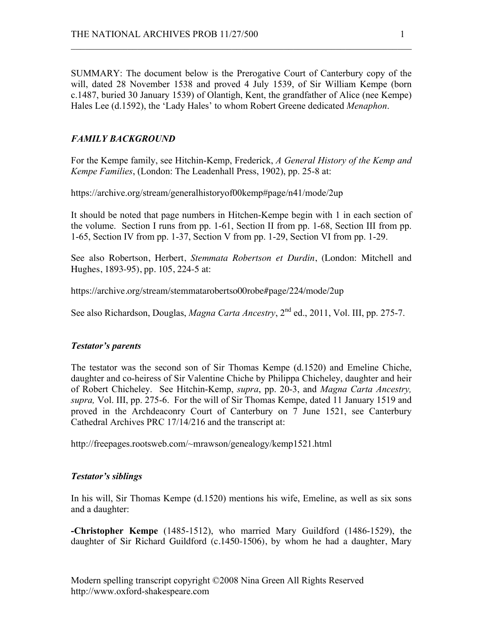SUMMARY: The document below is the Prerogative Court of Canterbury copy of the will, dated 28 November 1538 and proved 4 July 1539, of Sir William Kempe (born c.1487, buried 30 January 1539) of Olantigh, Kent, the grandfather of Alice (nee Kempe) Hales Lee (d.1592), the 'Lady Hales' to whom Robert Greene dedicated *Menaphon*.

 $\mathcal{L}_\text{max}$  , and the contribution of the contribution of the contribution of the contribution of the contribution of the contribution of the contribution of the contribution of the contribution of the contribution of t

# *FAMILY BACKGROUND*

For the Kempe family, see Hitchin-Kemp, Frederick, *A General History of the Kemp and Kempe Families*, (London: The Leadenhall Press, 1902), pp. 25-8 at:

https://archive.org/stream/generalhistoryof00kemp#page/n41/mode/2up

It should be noted that page numbers in Hitchen-Kempe begin with 1 in each section of the volume. Section I runs from pp. 1-61, Section II from pp. 1-68, Section III from pp. 1-65, Section IV from pp. 1-37, Section V from pp. 1-29, Section VI from pp. 1-29.

See also Robertson, Herbert, *Stemmata Robertson et Durdin*, (London: Mitchell and Hughes, 1893-95), pp. 105, 224-5 at:

https://archive.org/stream/stemmatarobertso00robe#page/224/mode/2up

See also Richardson, Douglas, *Magna Carta Ancestry*, 2<sup>nd</sup> ed., 2011, Vol. III, pp. 275-7.

#### *Testator's parents*

The testator was the second son of Sir Thomas Kempe (d.1520) and Emeline Chiche, daughter and co-heiress of Sir Valentine Chiche by Philippa Chicheley, daughter and heir of Robert Chicheley. See Hitchin-Kemp, *supra*, pp. 20-3, and *Magna Carta Ancestry, supra,* Vol. III, pp. 275-6. For the will of Sir Thomas Kempe, dated 11 January 1519 and proved in the Archdeaconry Court of Canterbury on 7 June 1521, see Canterbury Cathedral Archives PRC 17/14/216 and the transcript at:

http://freepages.rootsweb.com/~mrawson/genealogy/kemp1521.html

#### *Testator's siblings*

In his will, Sir Thomas Kempe (d.1520) mentions his wife, Emeline, as well as six sons and a daughter:

**-Christopher Kempe** (1485-1512), who married Mary Guildford (1486-1529), the daughter of Sir Richard Guildford (c.1450-1506), by whom he had a daughter, Mary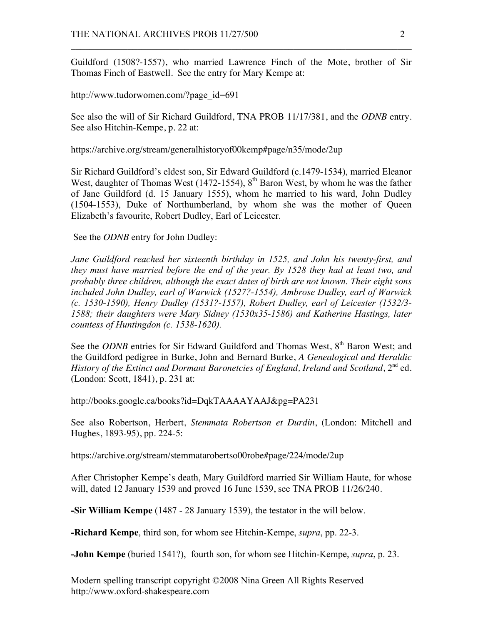Guildford (1508?-1557), who married Lawrence Finch of the Mote, brother of Sir Thomas Finch of Eastwell. See the entry for Mary Kempe at:

 $\mathcal{L}_\text{max}$  , and the contribution of the contribution of the contribution of the contribution of the contribution of the contribution of the contribution of the contribution of the contribution of the contribution of t

http://www.tudorwomen.com/?page\_id=691

See also the will of Sir Richard Guildford, TNA PROB 11/17/381, and the *ODNB* entry. See also Hitchin-Kempe, p. 22 at:

https://archive.org/stream/generalhistoryof00kemp#page/n35/mode/2up

Sir Richard Guildford's eldest son, Sir Edward Guildford (c.1479-1534), married Eleanor West, daughter of Thomas West (1472-1554),  $8<sup>th</sup>$  Baron West, by whom he was the father of Jane Guildford (d. 15 January 1555), whom he married to his ward, John Dudley (1504-1553), Duke of Northumberland, by whom she was the mother of Queen Elizabeth's favourite, Robert Dudley, Earl of Leicester.

See the *ODNB* entry for John Dudley:

*Jane Guildford reached her sixteenth birthday in 1525, and John his twenty-first, and they must have married before the end of the year. By 1528 they had at least two, and probably three children, although the exact dates of birth are not known. Their eight sons included John Dudley, earl of Warwick (1527?-1554), Ambrose Dudley, earl of Warwick (c. 1530-1590), Henry Dudley (1531?-1557), Robert Dudley, earl of Leicester (1532/3- 1588; their daughters were Mary Sidney (1530x35-1586) and Katherine Hastings, later countess of Huntingdon (c. 1538-1620).*

See the *ODNB* entries for Sir Edward Guildford and Thomas West, 8<sup>th</sup> Baron West; and the Guildford pedigree in Burke, John and Bernard Burke, *A Genealogical and Heraldic History of the Extinct and Dormant Baronetcies of England, Ireland and Scotland,*  $2^{nd}$  ed. (London: Scott, 1841), p. 231 at:

http://books.google.ca/books?id=DqkTAAAAYAAJ&pg=PA231

See also Robertson, Herbert, *Stemmata Robertson et Durdin*, (London: Mitchell and Hughes, 1893-95), pp. 224-5:

https://archive.org/stream/stemmatarobertso00robe#page/224/mode/2up

After Christopher Kempe's death, Mary Guildford married Sir William Haute, for whose will, dated 12 January 1539 and proved 16 June 1539, see TNA PROB 11/26/240.

**-Sir William Kempe** (1487 - 28 January 1539), the testator in the will below.

**-Richard Kempe**, third son, for whom see Hitchin-Kempe, *supra*, pp. 22-3.

**-John Kempe** (buried 1541?), fourth son, for whom see Hitchin-Kempe, *supra*, p. 23.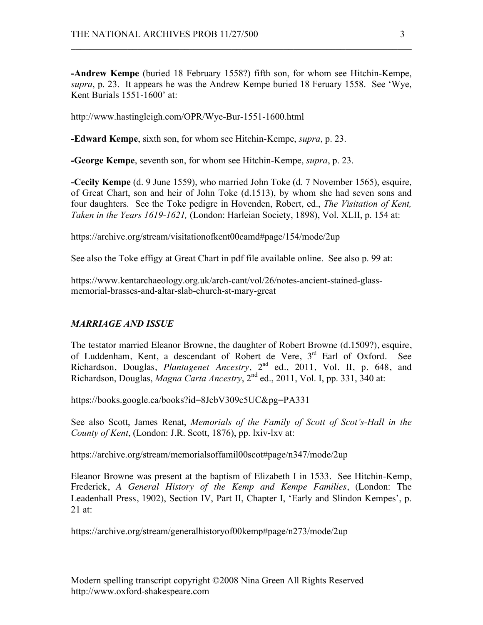**-Andrew Kempe** (buried 18 February 1558?) fifth son, for whom see Hitchin-Kempe, *supra*, p. 23. It appears he was the Andrew Kempe buried 18 Feruary 1558. See 'Wye, Kent Burials 1551-1600' at:

 $\mathcal{L}_\text{max}$  , and the contribution of the contribution of the contribution of the contribution of the contribution of the contribution of the contribution of the contribution of the contribution of the contribution of t

http://www.hastingleigh.com/OPR/Wye-Bur-1551-1600.html

**-Edward Kempe**, sixth son, for whom see Hitchin-Kempe, *supra*, p. 23.

**-George Kempe**, seventh son, for whom see Hitchin-Kempe, *supra*, p. 23.

**-Cecily Kempe** (d. 9 June 1559), who married John Toke (d. 7 November 1565), esquire, of Great Chart, son and heir of John Toke (d.1513), by whom she had seven sons and four daughters. See the Toke pedigre in Hovenden, Robert, ed., *The Visitation of Kent, Taken in the Years 1619-1621,* (London: Harleian Society, 1898), Vol. XLII, p. 154 at:

https://archive.org/stream/visitationofkent00camd#page/154/mode/2up

See also the Toke effigy at Great Chart in pdf file available online. See also p. 99 at:

https://www.kentarchaeology.org.uk/arch-cant/vol/26/notes-ancient-stained-glassmemorial-brasses-and-altar-slab-church-st-mary-great

# *MARRIAGE AND ISSUE*

The testator married Eleanor Browne, the daughter of Robert Browne (d.1509?), esquire, of Luddenham, Kent, a descendant of Robert de Vere, 3<sup>rd</sup> Earl of Oxford. See Richardson, Douglas, *Plantagenet Ancestry*, 2nd ed., 2011, Vol. II, p. 648, and Richardson, Douglas, *Magna Carta Ancestry*, 2nd ed., 2011, Vol. I, pp. 331, 340 at:

https://books.google.ca/books?id=8JcbV309c5UC&pg=PA331

See also Scott, James Renat, *Memorials of the Family of Scott of Scot's-Hall in the County of Kent*, (London: J.R. Scott, 1876), pp. lxiv-lxv at:

https://archive.org/stream/memorialsoffamil00scot#page/n347/mode/2up

Eleanor Browne was present at the baptism of Elizabeth I in 1533. See Hitchin-Kemp, Frederick, *A General History of the Kemp and Kempe Families*, (London: The Leadenhall Press, 1902), Section IV, Part II, Chapter I, 'Early and Slindon Kempes', p.  $21$  at:

https://archive.org/stream/generalhistoryof00kemp#page/n273/mode/2up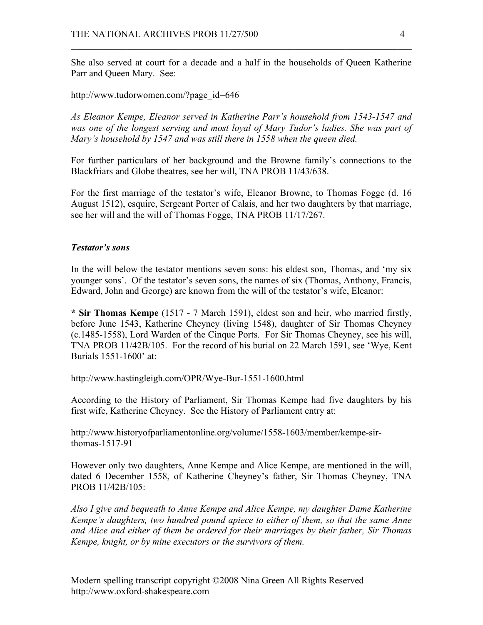She also served at court for a decade and a half in the households of Queen Katherine Parr and Queen Mary. See:

 $\mathcal{L}_\text{max}$  , and the contribution of the contribution of the contribution of the contribution of the contribution of the contribution of the contribution of the contribution of the contribution of the contribution of t

http://www.tudorwomen.com/?page\_id=646

*As Eleanor Kempe, Eleanor served in Katherine Parr's household from 1543-1547 and was one of the longest serving and most loyal of Mary Tudor's ladies. She was part of Mary's household by 1547 and was still there in 1558 when the queen died.*

For further particulars of her background and the Browne family's connections to the Blackfriars and Globe theatres, see her will, TNA PROB 11/43/638.

For the first marriage of the testator's wife, Eleanor Browne, to Thomas Fogge (d. 16 August 1512), esquire, Sergeant Porter of Calais, and her two daughters by that marriage, see her will and the will of Thomas Fogge, TNA PROB 11/17/267.

### *Testator's sons*

In the will below the testator mentions seven sons: his eldest son, Thomas, and 'my six younger sons'. Of the testator's seven sons, the names of six (Thomas, Anthony, Francis, Edward, John and George) are known from the will of the testator's wife, Eleanor:

**\* Sir Thomas Kempe** (1517 - 7 March 1591), eldest son and heir, who married firstly, before June 1543, Katherine Cheyney (living 1548), daughter of Sir Thomas Cheyney (c.1485-1558), Lord Warden of the Cinque Ports. For Sir Thomas Cheyney, see his will, TNA PROB 11/42B/105. For the record of his burial on 22 March 1591, see 'Wye, Kent Burials 1551-1600' at:

http://www.hastingleigh.com/OPR/Wye-Bur-1551-1600.html

According to the History of Parliament, Sir Thomas Kempe had five daughters by his first wife, Katherine Cheyney. See the History of Parliament entry at:

http://www.historyofparliamentonline.org/volume/1558-1603/member/kempe-sirthomas-1517-91

However only two daughters, Anne Kempe and Alice Kempe, are mentioned in the will, dated 6 December 1558, of Katherine Cheyney's father, Sir Thomas Cheyney, TNA PROB 11/42B/105:

*Also I give and bequeath to Anne Kempe and Alice Kempe, my daughter Dame Katherine Kempe's daughters, two hundred pound apiece to either of them, so that the same Anne and Alice and either of them be ordered for their marriages by their father, Sir Thomas Kempe, knight, or by mine executors or the survivors of them.*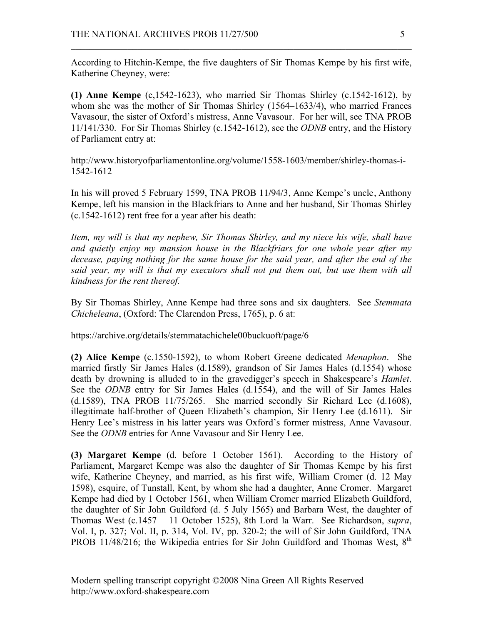According to Hitchin-Kempe, the five daughters of Sir Thomas Kempe by his first wife, Katherine Cheyney, were:

 $\mathcal{L}_\text{max}$  , and the contribution of the contribution of the contribution of the contribution of the contribution of the contribution of the contribution of the contribution of the contribution of the contribution of t

**(1) Anne Kempe** (c,1542-1623), who married Sir Thomas Shirley (c.1542-1612), by whom she was the mother of Sir Thomas Shirley (1564–1633/4), who married Frances Vavasour, the sister of Oxford's mistress, Anne Vavasour. For her will, see TNA PROB 11/141/330. For Sir Thomas Shirley (c.1542-1612), see the *ODNB* entry, and the History of Parliament entry at:

http://www.historyofparliamentonline.org/volume/1558-1603/member/shirley-thomas-i-1542-1612

In his will proved 5 February 1599, TNA PROB 11/94/3, Anne Kempe's uncle, Anthony Kempe, left his mansion in the Blackfriars to Anne and her husband, Sir Thomas Shirley (c.1542-1612) rent free for a year after his death:

*Item, my will is that my nephew, Sir Thomas Shirley, and my niece his wife, shall have and quietly enjoy my mansion house in the Blackfriars for one whole year after my*  decease, paying nothing for the same house for the said year, and after the end of the *said year, my will is that my executors shall not put them out, but use them with all kindness for the rent thereof.*

By Sir Thomas Shirley, Anne Kempe had three sons and six daughters. See *Stemmata Chicheleana*, (Oxford: The Clarendon Press, 1765), p. 6 at:

https://archive.org/details/stemmatachichele00buckuoft/page/6

**(2) Alice Kempe** (c.1550-1592), to whom Robert Greene dedicated *Menaphon*. She married firstly Sir James Hales (d.1589), grandson of Sir James Hales (d.1554) whose death by drowning is alluded to in the gravedigger's speech in Shakespeare's *Hamlet*. See the *ODNB* entry for Sir James Hales (d.1554), and the will of Sir James Hales  $(d.1589)$ , TNA PROB  $11/75/265$ . She married secondly Sir Richard Lee  $(d.1608)$ , illegitimate half-brother of Queen Elizabeth's champion, Sir Henry Lee (d.1611). Sir Henry Lee's mistress in his latter years was Oxford's former mistress, Anne Vavasour. See the *ODNB* entries for Anne Vavasour and Sir Henry Lee.

**(3) Margaret Kempe** (d. before 1 October 1561). According to the History of Parliament, Margaret Kempe was also the daughter of Sir Thomas Kempe by his first wife, Katherine Cheyney, and married, as his first wife, William Cromer (d. 12 May 1598), esquire, of Tunstall, Kent, by whom she had a daughter, Anne Cromer. Margaret Kempe had died by 1 October 1561, when William Cromer married Elizabeth Guildford, the daughter of Sir John Guildford (d. 5 July 1565) and Barbara West, the daughter of Thomas West (c.1457 – 11 October 1525), 8th Lord la Warr. See Richardson, *supra*, Vol. I, p. 327; Vol. II, p. 314, Vol. IV, pp. 320-2; the will of Sir John Guildford, TNA PROB 11/48/216; the Wikipedia entries for Sir John Guildford and Thomas West,  $8<sup>th</sup>$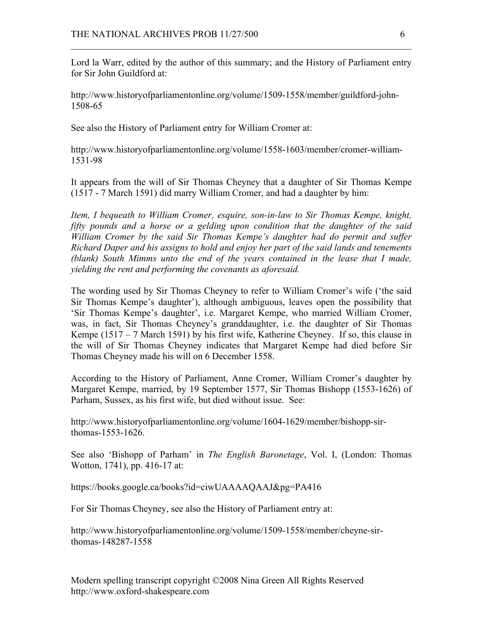Lord la Warr, edited by the author of this summary; and the History of Parliament entry for Sir John Guildford at:

 $\mathcal{L}_\text{max}$  , and the contribution of the contribution of the contribution of the contribution of the contribution of the contribution of the contribution of the contribution of the contribution of the contribution of t

http://www.historyofparliamentonline.org/volume/1509-1558/member/guildford-john-1508-65

See also the History of Parliament entry for William Cromer at:

http://www.historyofparliamentonline.org/volume/1558-1603/member/cromer-william-1531-98

It appears from the will of Sir Thomas Cheyney that a daughter of Sir Thomas Kempe (1517 - 7 March 1591) did marry William Cromer, and had a daughter by him:

*Item, I bequeath to William Cromer, esquire, son-in-law to Sir Thomas Kempe, knight, fifty pounds and a horse or a gelding upon condition that the daughter of the said William Cromer by the said Sir Thomas Kempe's daughter had do permit and suffer Richard Daper and his assigns to hold and enjoy her part of the said lands and tenements (blank) South Mimms unto the end of the years contained in the lease that I made, yielding the rent and performing the covenants as aforesaid.*

The wording used by Sir Thomas Cheyney to refer to William Cromer's wife ('the said Sir Thomas Kempe's daughter'), although ambiguous, leaves open the possibility that 'Sir Thomas Kempe's daughter', i.e. Margaret Kempe, who married William Cromer, was, in fact, Sir Thomas Cheyney's granddaughter, i.e. the daughter of Sir Thomas Kempe (1517 – 7 March 1591) by his first wife, Katherine Cheyney. If so, this clause in the will of Sir Thomas Cheyney indicates that Margaret Kempe had died before Sir Thomas Cheyney made his will on 6 December 1558.

According to the History of Parliament, Anne Cromer, William Cromer's daughter by Margaret Kempe, married, by 19 September 1577, Sir Thomas Bishopp (1553-1626) of Parham, Sussex, as his first wife, but died without issue. See:

http://www.historyofparliamentonline.org/volume/1604-1629/member/bishopp-sirthomas-1553-1626.

See also 'Bishopp of Parham' in *The English Baronetage*, Vol. I, (London: Thomas Wotton, 1741), pp. 416-17 at:

https://books.google.ca/books?id=ciwUAAAAQAAJ&pg=PA416

For Sir Thomas Cheyney, see also the History of Parliament entry at:

http://www.historyofparliamentonline.org/volume/1509-1558/member/cheyne-sirthomas-148287-1558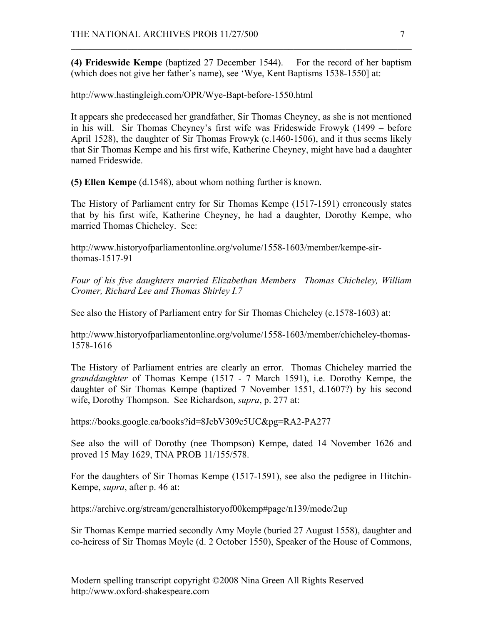**(4) Frideswide Kempe** (baptized 27 December 1544). For the record of her baptism (which does not give her father's name), see 'Wye, Kent Baptisms 1538-1550] at:

 $\mathcal{L}_\text{max}$  , and the contribution of the contribution of the contribution of the contribution of the contribution of the contribution of the contribution of the contribution of the contribution of the contribution of t

http://www.hastingleigh.com/OPR/Wye-Bapt-before-1550.html

It appears she predeceased her grandfather, Sir Thomas Cheyney, as she is not mentioned in his will. Sir Thomas Cheyney's first wife was Frideswide Frowyk (1499 – before April 1528), the daughter of Sir Thomas Frowyk (c.1460-1506), and it thus seems likely that Sir Thomas Kempe and his first wife, Katherine Cheyney, might have had a daughter named Frideswide.

**(5) Ellen Kempe** (d.1548), about whom nothing further is known.

The History of Parliament entry for Sir Thomas Kempe (1517-1591) erroneously states that by his first wife, Katherine Cheyney, he had a daughter, Dorothy Kempe, who married Thomas Chicheley. See:

http://www.historyofparliamentonline.org/volume/1558-1603/member/kempe-sirthomas-1517-91

*Four of his five daughters married Elizabethan Members—Thomas Chicheley, William Cromer, Richard Lee and Thomas Shirley I.7*

See also the History of Parliament entry for Sir Thomas Chicheley (c.1578-1603) at:

http://www.historyofparliamentonline.org/volume/1558-1603/member/chicheley-thomas-1578-1616

The History of Parliament entries are clearly an error. Thomas Chicheley married the *granddaughter* of Thomas Kempe (1517 - 7 March 1591), i.e. Dorothy Kempe, the daughter of Sir Thomas Kempe (baptized 7 November 1551, d.1607?) by his second wife, Dorothy Thompson. See Richardson, *supra*, p. 277 at:

https://books.google.ca/books?id=8JcbV309c5UC&pg=RA2-PA277

See also the will of Dorothy (nee Thompson) Kempe, dated 14 November 1626 and proved 15 May 1629, TNA PROB 11/155/578.

For the daughters of Sir Thomas Kempe (1517-1591), see also the pedigree in Hitchin-Kempe, *supra*, after p. 46 at:

https://archive.org/stream/generalhistoryof00kemp#page/n139/mode/2up

Sir Thomas Kempe married secondly Amy Moyle (buried 27 August 1558), daughter and co-heiress of Sir Thomas Moyle (d. 2 October 1550), Speaker of the House of Commons,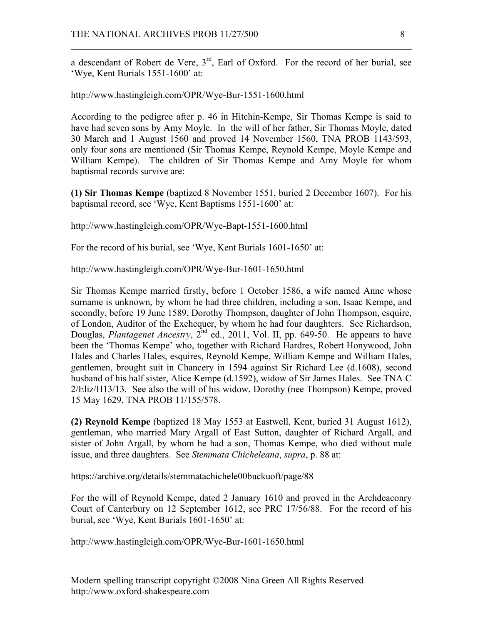a descendant of Robert de Vere,  $3<sup>rd</sup>$ , Earl of Oxford. For the record of her burial, see 'Wye, Kent Burials 1551-1600' at:

 $\mathcal{L}_\text{max}$  , and the contribution of the contribution of the contribution of the contribution of the contribution of the contribution of the contribution of the contribution of the contribution of the contribution of t

http://www.hastingleigh.com/OPR/Wye-Bur-1551-1600.html

According to the pedigree after p. 46 in Hitchin-Kempe, Sir Thomas Kempe is said to have had seven sons by Amy Moyle. In the will of her father, Sir Thomas Moyle, dated 30 March and 1 August 1560 and proved 14 November 1560, TNA PROB 1143/593, only four sons are mentioned (Sir Thomas Kempe, Reynold Kempe, Moyle Kempe and William Kempe). The children of Sir Thomas Kempe and Amy Moyle for whom baptismal records survive are:

**(1) Sir Thomas Kempe** (baptized 8 November 1551, buried 2 December 1607). For his baptismal record, see 'Wye, Kent Baptisms 1551-1600' at:

http://www.hastingleigh.com/OPR/Wye-Bapt-1551-1600.html

For the record of his burial, see 'Wye, Kent Burials 1601-1650' at:

http://www.hastingleigh.com/OPR/Wye-Bur-1601-1650.html

Sir Thomas Kempe married firstly, before 1 October 1586, a wife named Anne whose surname is unknown, by whom he had three children, including a son, Isaac Kempe, and secondly, before 19 June 1589, Dorothy Thompson, daughter of John Thompson, esquire, of London, Auditor of the Exchequer, by whom he had four daughters. See Richardson, Douglas, *Plantagenet Ancestry*, 2<sup>nd</sup> ed., 2011, Vol. II, pp. 649-50. He appears to have been the 'Thomas Kempe' who, together with Richard Hardres, Robert Honywood, John Hales and Charles Hales, esquires, Reynold Kempe, William Kempe and William Hales, gentlemen, brought suit in Chancery in 1594 against Sir Richard Lee (d.1608), second husband of his half sister, Alice Kempe (d.1592), widow of Sir James Hales. See TNA C 2/Eliz/H13/13. See also the will of his widow, Dorothy (nee Thompson) Kempe, proved 15 May 1629, TNA PROB 11/155/578.

**(2) Reynold Kempe** (baptized 18 May 1553 at Eastwell, Kent, buried 31 August 1612), gentleman, who married Mary Argall of East Sutton, daughter of Richard Argall, and sister of John Argall, by whom he had a son, Thomas Kempe, who died without male issue, and three daughters. See *Stemmata Chicheleana*, *supra*, p. 88 at:

https://archive.org/details/stemmatachichele00buckuoft/page/88

For the will of Reynold Kempe, dated 2 January 1610 and proved in the Archdeaconry Court of Canterbury on 12 September 1612, see PRC 17/56/88. For the record of his burial, see 'Wye, Kent Burials 1601-1650' at:

http://www.hastingleigh.com/OPR/Wye-Bur-1601-1650.html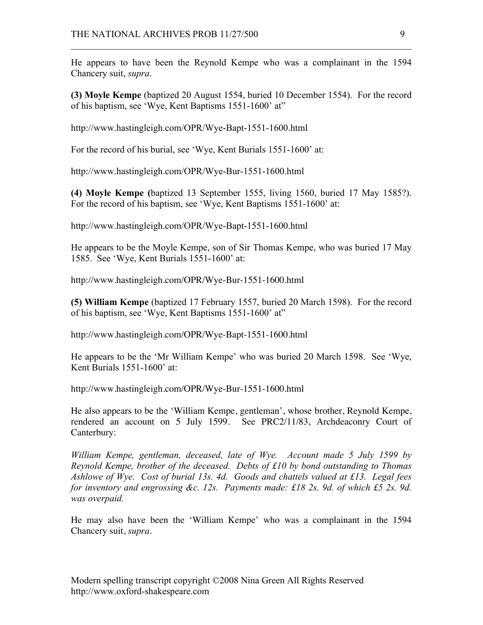He appears to have been the Reynold Kempe who was a complainant in the 1594 Chancery suit, *supra*.

 $\mathcal{L}_\text{max}$  , and the contribution of the contribution of the contribution of the contribution of the contribution of the contribution of the contribution of the contribution of the contribution of the contribution of t

**(3) Moyle Kempe** (baptized 20 August 1554, buried 10 December 1554). For the record of his baptism, see 'Wye, Kent Baptisms 1551-1600' at"

http://www.hastingleigh.com/OPR/Wye-Bapt-1551-1600.html

For the record of his burial, see 'Wye, Kent Burials 1551-1600' at:

http://www.hastingleigh.com/OPR/Wye-Bur-1551-1600.html

**(4) Moyle Kempe (**baptized 13 September 1555, living 1560, buried 17 May 1585?). For the record of his baptism, see 'Wye, Kent Baptisms 1551-1600' at:

http://www.hastingleigh.com/OPR/Wye-Bapt-1551-1600.html

He appears to be the Moyle Kempe, son of Sir Thomas Kempe, who was buried 17 May 1585. See 'Wye, Kent Burials 1551-1600' at:

http://www.hastingleigh.com/OPR/Wye-Bur-1551-1600.html

**(5) William Kempe** (baptized 17 February 1557, buried 20 March 1598). For the record of his baptism, see 'Wye, Kent Baptisms 1551-1600' at"

http://www.hastingleigh.com/OPR/Wye-Bapt-1551-1600.html

He appears to be the 'Mr William Kempe' who was buried 20 March 1598. See 'Wye, Kent Burials 1551-1600' at:

http://www.hastingleigh.com/OPR/Wye-Bur-1551-1600.html

He also appears to be the 'William Kempe, gentleman', whose brother, Reynold Kempe, rendered an account on 5 July 1599. See PRC2/11/83, Archdeaconry Court of Canterbury:

*William Kempe, gentleman, deceased, late of Wye. Account made 5 July 1599 by Reynold Kempe, brother of the deceased. Debts of £10 by bond outstanding to Thomas Ashlowe of Wye. Cost of burial 13s. 4d. Goods and chattels valued at £13. Legal fees for inventory and engrossing &c. 12s. Payments made: £18 2s. 9d. of which £5 2s. 9d. was overpaid.*

He may also have been the 'William Kempe' who was a complainant in the 1594 Chancery suit, *supra*.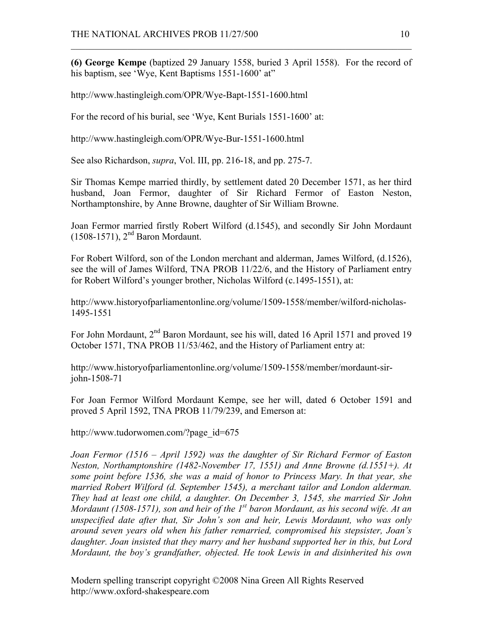**(6) George Kempe** (baptized 29 January 1558, buried 3 April 1558). For the record of his baptism, see 'Wye, Kent Baptisms 1551-1600' at"

 $\mathcal{L}_\text{max}$  , and the contribution of the contribution of the contribution of the contribution of the contribution of the contribution of the contribution of the contribution of the contribution of the contribution of t

http://www.hastingleigh.com/OPR/Wye-Bapt-1551-1600.html

For the record of his burial, see 'Wye, Kent Burials 1551-1600' at:

http://www.hastingleigh.com/OPR/Wye-Bur-1551-1600.html

See also Richardson, *supra*, Vol. III, pp. 216-18, and pp. 275-7.

Sir Thomas Kempe married thirdly, by settlement dated 20 December 1571, as her third husband, Joan Fermor, daughter of Sir Richard Fermor of Easton Neston, Northamptonshire, by Anne Browne, daughter of Sir William Browne.

Joan Fermor married firstly Robert Wilford (d.1545), and secondly Sir John Mordaunt  $(1508-1571)$ ,  $2<sup>nd</sup> Baron Mordaunt.$ 

For Robert Wilford, son of the London merchant and alderman, James Wilford, (d.1526), see the will of James Wilford, TNA PROB 11/22/6, and the History of Parliament entry for Robert Wilford's younger brother, Nicholas Wilford (c.1495-1551), at:

http://www.historyofparliamentonline.org/volume/1509-1558/member/wilford-nicholas-1495-1551

For John Mordaunt, 2<sup>nd</sup> Baron Mordaunt, see his will, dated 16 April 1571 and proved 19 October 1571, TNA PROB 11/53/462, and the History of Parliament entry at:

http://www.historyofparliamentonline.org/volume/1509-1558/member/mordaunt-sirjohn-1508-71

For Joan Fermor Wilford Mordaunt Kempe, see her will, dated 6 October 1591 and proved 5 April 1592, TNA PROB 11/79/239, and Emerson at:

http://www.tudorwomen.com/?page\_id=675

*Joan Fermor (1516 – April 1592) was the daughter of Sir Richard Fermor of Easton Neston, Northamptonshire (1482-November 17, 1551) and Anne Browne (d.1551+). At some point before 1536, she was a maid of honor to Princess Mary. In that year, she married Robert Wilford (d. September 1545), a merchant tailor and London alderman. They had at least one child, a daughter. On December 3, 1545, she married Sir John Mordaunt (1508-1571), son and heir of the 1st baron Mordaunt, as his second wife. At an unspecified date after that, Sir John's son and heir, Lewis Mordaunt, who was only around seven years old when his father remarried, compromised his stepsister, Joan's daughter. Joan insisted that they marry and her husband supported her in this, but Lord Mordaunt, the boy's grandfather, objected. He took Lewis in and disinherited his own*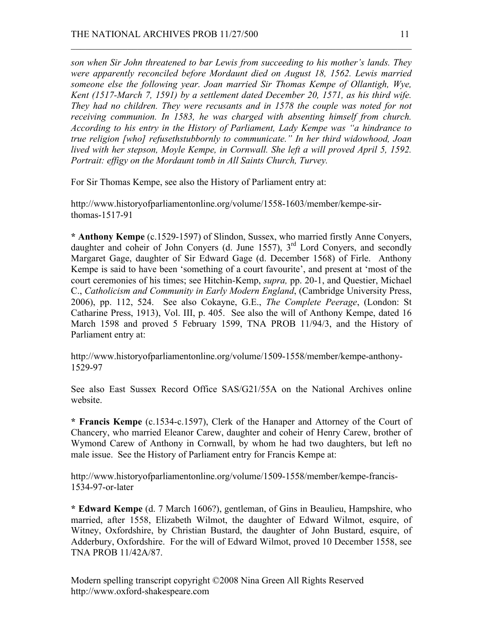*son when Sir John threatened to bar Lewis from succeeding to his mother's lands. They were apparently reconciled before Mordaunt died on August 18, 1562. Lewis married someone else the following year. Joan married Sir Thomas Kempe of Ollantigh, Wye, Kent (1517-March 7, 1591) by a settlement dated December 20, 1571, as his third wife. They had no children. They were recusants and in 1578 the couple was noted for not receiving communion. In 1583, he was charged with absenting himself from church. According to his entry in the History of Parliament, Lady Kempe was "a hindrance to true religion [who] refusethstubbornly to communicate." In her third widowhood, Joan lived with her stepson, Moyle Kempe, in Cornwall. She left a will proved April 5, 1592. Portrait: effigy on the Mordaunt tomb in All Saints Church, Turvey.*

 $\mathcal{L}_\text{max}$  , and the contribution of the contribution of the contribution of the contribution of the contribution of the contribution of the contribution of the contribution of the contribution of the contribution of t

For Sir Thomas Kempe, see also the History of Parliament entry at:

http://www.historyofparliamentonline.org/volume/1558-1603/member/kempe-sirthomas-1517-91

**\* Anthony Kempe** (c.1529-1597) of Slindon, Sussex, who married firstly Anne Conyers, daughter and coheir of John Conyers (d. June 1557), 3<sup>rd</sup> Lord Convers, and secondly Margaret Gage, daughter of Sir Edward Gage (d. December 1568) of Firle. Anthony Kempe is said to have been 'something of a court favourite', and present at 'most of the court ceremonies of his times; see Hitchin-Kemp, *supra,* pp. 20-1, and Questier, Michael C., *Catholicism and Community in Early Modern England*, (Cambridge University Press, 2006), pp. 112, 524. See also Cokayne, G.E., *The Complete Peerage*, (London: St Catharine Press, 1913), Vol. III, p. 405. See also the will of Anthony Kempe, dated 16 March 1598 and proved 5 February 1599, TNA PROB 11/94/3, and the History of Parliament entry at:

http://www.historyofparliamentonline.org/volume/1509-1558/member/kempe-anthony-1529-97

See also East Sussex Record Office SAS/G21/55A on the National Archives online website.

**\* Francis Kempe** (c.1534-c.1597), Clerk of the Hanaper and Attorney of the Court of Chancery, who married Eleanor Carew, daughter and coheir of Henry Carew, brother of Wymond Carew of Anthony in Cornwall, by whom he had two daughters, but left no male issue. See the History of Parliament entry for Francis Kempe at:

http://www.historyofparliamentonline.org/volume/1509-1558/member/kempe-francis-1534-97-or-later

**\* Edward Kempe** (d. 7 March 1606?), gentleman, of Gins in Beaulieu, Hampshire, who married, after 1558, Elizabeth Wilmot, the daughter of Edward Wilmot, esquire, of Witney, Oxfordshire, by Christian Bustard, the daughter of John Bustard, esquire, of Adderbury, Oxfordshire. For the will of Edward Wilmot, proved 10 December 1558, see TNA PROB 11/42A/87.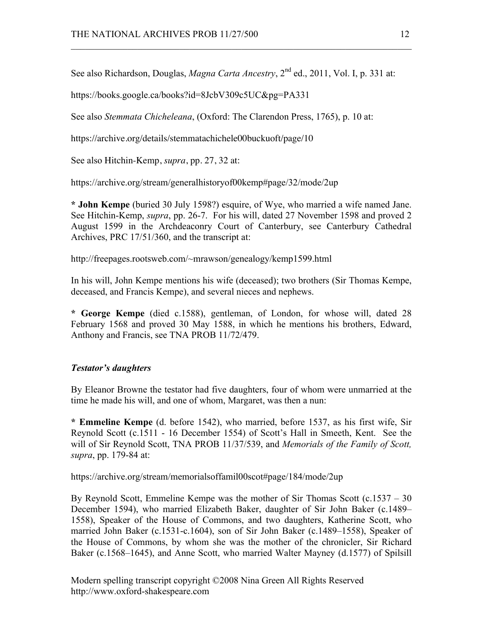See also Richardson, Douglas, *Magna Carta Ancestry*, 2<sup>nd</sup> ed., 2011, Vol. I. p. 331 at:

 $\mathcal{L}_\text{max}$  , and the contribution of the contribution of the contribution of the contribution of the contribution of the contribution of the contribution of the contribution of the contribution of the contribution of t

https://books.google.ca/books?id=8JcbV309c5UC&pg=PA331

See also *Stemmata Chicheleana*, (Oxford: The Clarendon Press, 1765), p. 10 at:

https://archive.org/details/stemmatachichele00buckuoft/page/10

See also Hitchin-Kemp, *supra*, pp. 27, 32 at:

https://archive.org/stream/generalhistoryof00kemp#page/32/mode/2up

**\* John Kempe** (buried 30 July 1598?) esquire, of Wye, who married a wife named Jane. See Hitchin-Kemp, *supra*, pp. 26-7. For his will, dated 27 November 1598 and proved 2 August 1599 in the Archdeaconry Court of Canterbury, see Canterbury Cathedral Archives, PRC 17/51/360, and the transcript at:

http://freepages.rootsweb.com/~mrawson/genealogy/kemp1599.html

In his will, John Kempe mentions his wife (deceased); two brothers (Sir Thomas Kempe, deceased, and Francis Kempe), and several nieces and nephews.

**\* George Kempe** (died c.1588), gentleman, of London, for whose will, dated 28 February 1568 and proved 30 May 1588, in which he mentions his brothers, Edward, Anthony and Francis, see TNA PROB 11/72/479.

### *Testator's daughters*

By Eleanor Browne the testator had five daughters, four of whom were unmarried at the time he made his will, and one of whom, Margaret, was then a nun:

**\* Emmeline Kempe** (d. before 1542), who married, before 1537, as his first wife, Sir Reynold Scott (c.1511 - 16 December 1554) of Scott's Hall in Smeeth, Kent. See the will of Sir Reynold Scott, TNA PROB 11/37/539, and *Memorials of the Family of Scott, supra*, pp. 179-84 at:

https://archive.org/stream/memorialsoffamil00scot#page/184/mode/2up

By Reynold Scott, Emmeline Kempe was the mother of Sir Thomas Scott (c.1537 – 30 December 1594), who married Elizabeth Baker, daughter of Sir John Baker (c.1489– 1558), Speaker of the House of Commons, and two daughters, Katherine Scott, who married John Baker (c.1531-c.1604), son of Sir John Baker (c.1489–1558), Speaker of the House of Commons, by whom she was the mother of the chronicler, Sir Richard Baker (c.1568–1645), and Anne Scott, who married Walter Mayney (d.1577) of Spilsill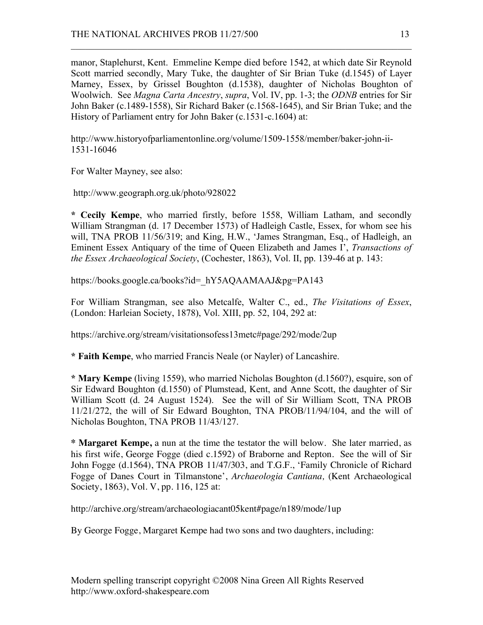manor, Staplehurst, Kent. Emmeline Kempe died before 1542, at which date Sir Reynold Scott married secondly, Mary Tuke, the daughter of Sir Brian Tuke (d.1545) of Layer Marney, Essex, by Grissel Boughton (d.1538), daughter of Nicholas Boughton of Woolwich. See *Magna Carta Ancestry*, *supra*, Vol. IV, pp. 1-3; the *ODNB* entries for Sir John Baker (c.1489-1558), Sir Richard Baker (c.1568-1645), and Sir Brian Tuke; and the History of Parliament entry for John Baker (c.1531-c.1604) at:

 $\mathcal{L}_\text{max}$  , and the contribution of the contribution of the contribution of the contribution of the contribution of the contribution of the contribution of the contribution of the contribution of the contribution of t

http://www.historyofparliamentonline.org/volume/1509-1558/member/baker-john-ii-1531-16046

For Walter Mayney, see also:

http://www.geograph.org.uk/photo/928022

**\* Cecily Kempe**, who married firstly, before 1558, William Latham, and secondly William Strangman (d. 17 December 1573) of Hadleigh Castle, Essex, for whom see his will, TNA PROB 11/56/319; and King, H.W., 'James Strangman, Esq., of Hadleigh, an Eminent Essex Antiquary of the time of Queen Elizabeth and James I', *Transactions of the Essex Archaeological Society*, (Cochester, 1863), Vol. II, pp. 139-46 at p. 143:

https://books.google.ca/books?id=\_hY5AQAAMAAJ&pg=PA143

For William Strangman, see also Metcalfe, Walter C., ed., *The Visitations of Essex*, (London: Harleian Society, 1878), Vol. XIII, pp. 52, 104, 292 at:

https://archive.org/stream/visitationsofess13metc#page/292/mode/2up

**\* Faith Kempe**, who married Francis Neale (or Nayler) of Lancashire.

**\* Mary Kempe** (living 1559), who married Nicholas Boughton (d.1560?), esquire, son of Sir Edward Boughton (d.1550) of Plumstead, Kent, and Anne Scott, the daughter of Sir William Scott (d. 24 August 1524). See the will of Sir William Scott, TNA PROB 11/21/272, the will of Sir Edward Boughton, TNA PROB/11/94/104, and the will of Nicholas Boughton, TNA PROB 11/43/127.

**\* Margaret Kempe,** a nun at the time the testator the will below. She later married, as his first wife, George Fogge (died c.1592) of Braborne and Repton. See the will of Sir John Fogge (d.1564), TNA PROB 11/47/303, and T.G.F., 'Family Chronicle of Richard Fogge of Danes Court in Tilmanstone', *Archaeologia Cantiana,* (Kent Archaeological Society, 1863), Vol. V, pp. 116, 125 at:

http://archive.org/stream/archaeologiacant05kent#page/n189/mode/1up

By George Fogge, Margaret Kempe had two sons and two daughters, including: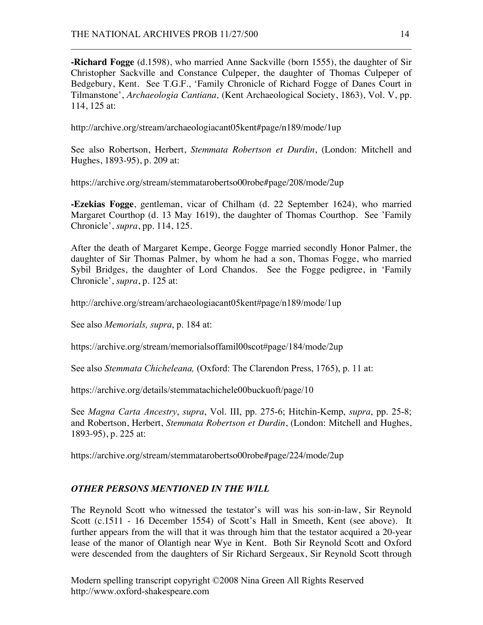**-Richard Fogge** (d.1598), who married Anne Sackville (born 1555), the daughter of Sir Christopher Sackville and Constance Culpeper, the daughter of Thomas Culpeper of Bedgebury, Kent. See T.G.F., 'Family Chronicle of Richard Fogge of Danes Court in Tilmanstone', *Archaeologia Cantiana,* (Kent Archaeological Society, 1863), Vol. V, pp. 114, 125 at:

 $\mathcal{L}_\text{max}$  , and the contribution of the contribution of the contribution of the contribution of the contribution of the contribution of the contribution of the contribution of the contribution of the contribution of t

http://archive.org/stream/archaeologiacant05kent#page/n189/mode/1up

See also Robertson, Herbert, *Stemmata Robertson et Durdin*, (London: Mitchell and Hughes, 1893-95), p. 209 at:

https://archive.org/stream/stemmatarobertso00robe#page/208/mode/2up

**-Ezekias Fogge**, gentleman, vicar of Chilham (d. 22 September 1624), who married Margaret Courthop (d. 13 May 1619), the daughter of Thomas Courthop. See 'Family Chronicle', *supra*, pp. 114, 125.

After the death of Margaret Kempe, George Fogge married secondly Honor Palmer, the daughter of Sir Thomas Palmer, by whom he had a son, Thomas Fogge, who married Sybil Bridges, the daughter of Lord Chandos. See the Fogge pedigree, in 'Family Chronicle', *supra*, p. 125 at:

http://archive.org/stream/archaeologiacant05kent#page/n189/mode/1up

See also *Memorials, supra*, p. 184 at:

https://archive.org/stream/memorialsoffamil00scot#page/184/mode/2up

See also *Stemmata Chicheleana,* (Oxford: The Clarendon Press, 1765), p. 11 at:

https://archive.org/details/stemmatachichele00buckuoft/page/10

See *Magna Carta Ancestry*, *supra*, Vol. III, pp. 275-6; Hitchin-Kemp, *supra*, pp. 25-8; and Robertson, Herbert, *Stemmata Robertson et Durdin*, (London: Mitchell and Hughes, 1893-95), p. 225 at:

https://archive.org/stream/stemmatarobertso00robe#page/224/mode/2up

# *OTHER PERSONS MENTIONED IN THE WILL*

The Reynold Scott who witnessed the testator's will was his son-in-law, Sir Reynold Scott (c.1511 - 16 December 1554) of Scott's Hall in Smeeth, Kent (see above). It further appears from the will that it was through him that the testator acquired a 20-year lease of the manor of Olantigh near Wye in Kent. Both Sir Reynold Scott and Oxford were descended from the daughters of Sir Richard Sergeaux, Sir Reynold Scott through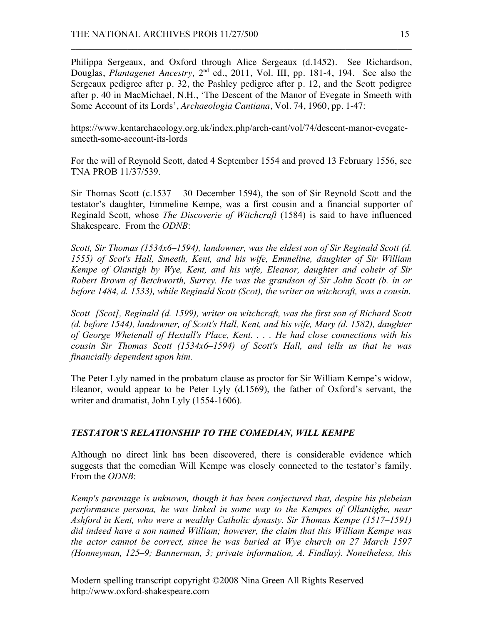Philippa Sergeaux, and Oxford through Alice Sergeaux (d.1452). See Richardson, Douglas, *Plantagenet Ancestry*, 2<sup>nd</sup> ed., 2011, Vol. III, pp. 181-4, 194. See also the Sergeaux pedigree after p. 32, the Pashley pedigree after p. 12, and the Scott pedigree after p. 40 in MacMichael, N.H., 'The Descent of the Manor of Evegate in Smeeth with Some Account of its Lords', *Archaeologia Cantiana*, Vol. 74, 1960, pp. 1-47:

 $\mathcal{L}_\text{max}$  , and the contribution of the contribution of the contribution of the contribution of the contribution of the contribution of the contribution of the contribution of the contribution of the contribution of t

https://www.kentarchaeology.org.uk/index.php/arch-cant/vol/74/descent-manor-evegatesmeeth-some-account-its-lords

For the will of Reynold Scott, dated 4 September 1554 and proved 13 February 1556, see TNA PROB 11/37/539.

Sir Thomas Scott (c.1537 – 30 December 1594), the son of Sir Reynold Scott and the testator's daughter, Emmeline Kempe, was a first cousin and a financial supporter of Reginald Scott, whose *The Discoverie of Witchcraft* (1584) is said to have influenced Shakespeare. From the *ODNB*:

*Scott, Sir Thomas (1534x6–1594), landowner, was the eldest son of Sir Reginald Scott (d. 1555) of Scot's Hall, Smeeth, Kent, and his wife, Emmeline, daughter of Sir William Kempe of Olantigh by Wye, Kent, and his wife, Eleanor, daughter and coheir of Sir Robert Brown of Betchworth, Surrey. He was the grandson of Sir John Scott (b. in or before 1484, d. 1533), while Reginald Scott (Scot), the writer on witchcraft, was a cousin.*

*Scott [Scot], Reginald (d. 1599), writer on witchcraft, was the first son of Richard Scott (d. before 1544), landowner, of Scott's Hall, Kent, and his wife, Mary (d. 1582), daughter of George Whetenall of Hextall's Place, Kent. . . . He had close connections with his cousin Sir Thomas Scott (1534x6–1594) of Scott's Hall, and tells us that he was financially dependent upon him.*

The Peter Lyly named in the probatum clause as proctor for Sir William Kempe's widow, Eleanor, would appear to be Peter Lyly (d.1569), the father of Oxford's servant, the writer and dramatist, John Lyly (1554-1606).

# *TESTATOR'S RELATIONSHIP TO THE COMEDIAN, WILL KEMPE*

Although no direct link has been discovered, there is considerable evidence which suggests that the comedian Will Kempe was closely connected to the testator's family. From the *ODNB*:

*Kemp's parentage is unknown, though it has been conjectured that, despite his plebeian performance persona, he was linked in some way to the Kempes of Ollantighe, near Ashford in Kent, who were a wealthy Catholic dynasty. Sir Thomas Kempe (1517–1591) did indeed have a son named William; however, the claim that this William Kempe was the actor cannot be correct, since he was buried at Wye church on 27 March 1597 (Honneyman, 125–9; Bannerman, 3; private information, A. Findlay). Nonetheless, this*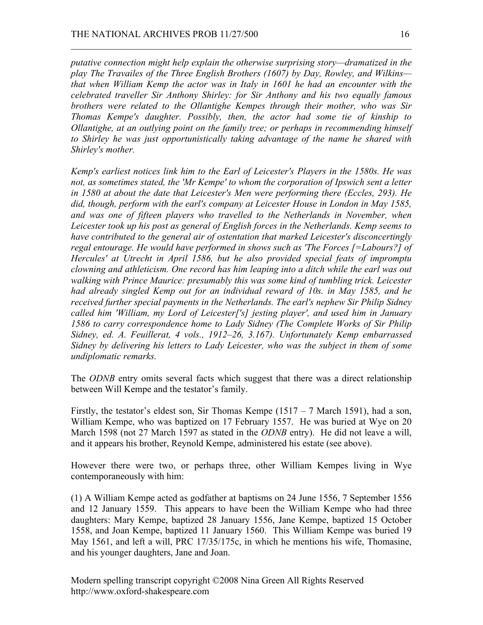*putative connection might help explain the otherwise surprising story—dramatized in the play The Travailes of the Three English Brothers (1607) by Day, Rowley, and Wilkins that when William Kemp the actor was in Italy in 1601 he had an encounter with the celebrated traveller Sir Anthony Shirley: for Sir Anthony and his two equally famous brothers were related to the Ollantighe Kempes through their mother, who was Sir Thomas Kempe's daughter. Possibly, then, the actor had some tie of kinship to Ollantighe, at an outlying point on the family tree; or perhaps in recommending himself to Shirley he was just opportunistically taking advantage of the name he shared with Shirley's mother.*

 $\mathcal{L}_\text{max}$  , and the contribution of the contribution of the contribution of the contribution of the contribution of the contribution of the contribution of the contribution of the contribution of the contribution of t

*Kemp's earliest notices link him to the Earl of Leicester's Players in the 1580s. He was not, as sometimes stated, the 'Mr Kempe' to whom the corporation of Ipswich sent a letter in 1580 at about the date that Leicester's Men were performing there (Eccles, 293). He did, though, perform with the earl's company at Leicester House in London in May 1585, and was one of fifteen players who travelled to the Netherlands in November, when Leicester took up his post as general of English forces in the Netherlands. Kemp seems to have contributed to the general air of ostentation that marked Leicester's disconcertingly regal entourage. He would have performed in shows such as 'The Forces [=Labours?] of Hercules' at Utrecht in April 1586, but he also provided special feats of impromptu clowning and athleticism. One record has him leaping into a ditch while the earl was out walking with Prince Maurice: presumably this was some kind of tumbling trick. Leicester had already singled Kemp out for an individual reward of 10s. in May 1585, and he received further special payments in the Netherlands. The earl's nephew Sir Philip Sidney called him 'William, my Lord of Leicester['s] jesting player', and used him in January 1586 to carry correspondence home to Lady Sidney (The Complete Works of Sir Philip Sidney, ed. A. Feuillerat, 4 vols., 1912–26, 3.167). Unfortunately Kemp embarrassed Sidney by delivering his letters to Lady Leicester, who was the subject in them of some undiplomatic remarks.*

The *ODNB* entry omits several facts which suggest that there was a direct relationship between Will Kempe and the testator's family.

Firstly, the testator's eldest son, Sir Thomas Kempe  $(1517 - 7)$  March 1591), had a son, William Kempe, who was baptized on 17 February 1557. He was buried at Wye on 20 March 1598 (not 27 March 1597 as stated in the *ODNB* entry). He did not leave a will, and it appears his brother, Reynold Kempe, administered his estate (see above).

However there were two, or perhaps three, other William Kempes living in Wye contemporaneously with him:

(1) A William Kempe acted as godfather at baptisms on 24 June 1556, 7 September 1556 and 12 January 1559. This appears to have been the William Kempe who had three daughters: Mary Kempe, baptized 28 January 1556, Jane Kempe, baptized 15 October 1558, and Joan Kempe, baptized 11 January 1560. This William Kempe was buried 19 May 1561, and left a will, PRC 17/35/175c, in which he mentions his wife, Thomasine, and his younger daughters, Jane and Joan.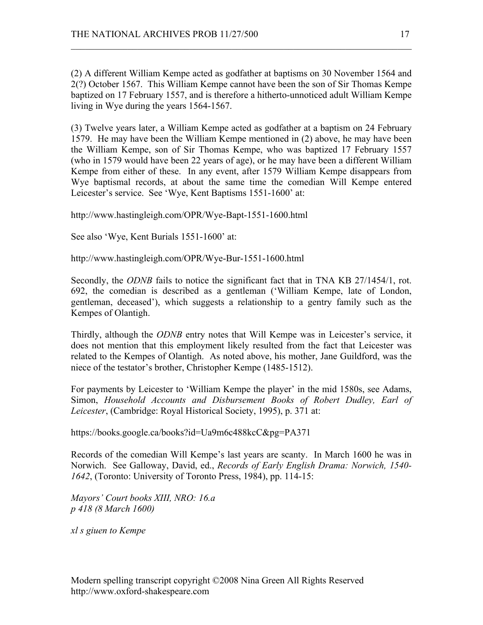(2) A different William Kempe acted as godfather at baptisms on 30 November 1564 and 2(?) October 1567. This William Kempe cannot have been the son of Sir Thomas Kempe baptized on 17 February 1557, and is therefore a hitherto-unnoticed adult William Kempe living in Wye during the years 1564-1567.

 $\mathcal{L}_\text{max}$  , and the contribution of the contribution of the contribution of the contribution of the contribution of the contribution of the contribution of the contribution of the contribution of the contribution of t

(3) Twelve years later, a William Kempe acted as godfather at a baptism on 24 February 1579. He may have been the William Kempe mentioned in (2) above, he may have been the William Kempe, son of Sir Thomas Kempe, who was baptized 17 February 1557 (who in 1579 would have been 22 years of age), or he may have been a different William Kempe from either of these. In any event, after 1579 William Kempe disappears from Wye baptismal records, at about the same time the comedian Will Kempe entered Leicester's service. See 'Wye, Kent Baptisms 1551-1600' at:

http://www.hastingleigh.com/OPR/Wye-Bapt-1551-1600.html

See also 'Wye, Kent Burials 1551-1600' at:

http://www.hastingleigh.com/OPR/Wye-Bur-1551-1600.html

Secondly, the *ODNB* fails to notice the significant fact that in TNA KB 27/1454/1, rot. 692, the comedian is described as a gentleman ('William Kempe, late of London, gentleman, deceased'), which suggests a relationship to a gentry family such as the Kempes of Olantigh.

Thirdly, although the *ODNB* entry notes that Will Kempe was in Leicester's service, it does not mention that this employment likely resulted from the fact that Leicester was related to the Kempes of Olantigh. As noted above, his mother, Jane Guildford, was the niece of the testator's brother, Christopher Kempe (1485-1512).

For payments by Leicester to 'William Kempe the player' in the mid 1580s, see Adams, Simon, *Household Accounts and Disbursement Books of Robert Dudley, Earl of Leicester*, (Cambridge: Royal Historical Society, 1995), p. 371 at:

https://books.google.ca/books?id=Ua9m6c488kcC&pg=PA371

Records of the comedian Will Kempe's last years are scanty. In March 1600 he was in Norwich. See Galloway, David, ed., *Records of Early English Drama: Norwich, 1540- 1642*, (Toronto: University of Toronto Press, 1984), pp. 114-15:

*Mayors' Court books XIII, NRO: 16.a p 418 (8 March 1600)*

*xl s giuen to Kempe*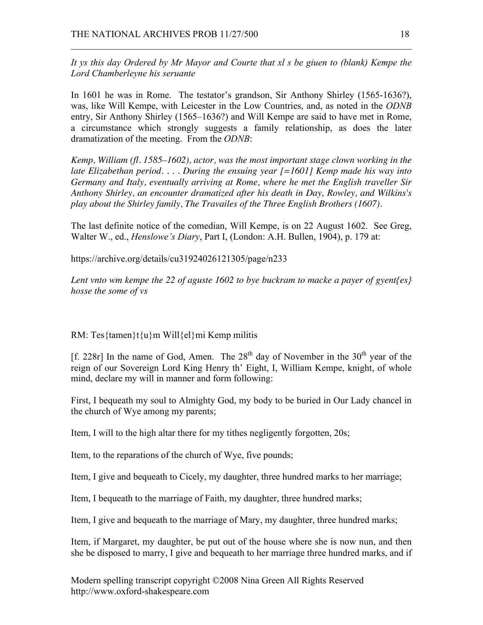*It ys this day Ordered by Mr Mayor and Courte that xl s be giuen to (blank) Kempe the Lord Chamberleyne his seruante*

 $\mathcal{L}_\text{max}$  , and the contribution of the contribution of the contribution of the contribution of the contribution of the contribution of the contribution of the contribution of the contribution of the contribution of t

In 1601 he was in Rome. The testator's grandson, Sir Anthony Shirley (1565-1636?), was, like Will Kempe, with Leicester in the Low Countries, and, as noted in the *ODNB* entry, Sir Anthony Shirley (1565–1636?) and Will Kempe are said to have met in Rome, a circumstance which strongly suggests a family relationship, as does the later dramatization of the meeting. From the *ODNB*:

*Kemp, William (fl. 1585–1602), actor, was the most important stage clown working in the late Elizabethan period. . . . During the ensuing year [=1601] Kemp made his way into Germany and Italy, eventually arriving at Rome, where he met the English traveller Sir Anthony Shirley, an encounter dramatized after his death in Day, Rowley, and Wilkins's play about the Shirley family, The Travailes of the Three English Brothers (1607).*

The last definite notice of the comedian, Will Kempe, is on 22 August 1602. See Greg, Walter W., ed., *Henslowe's Diary*, Part I, (London: A.H. Bullen, 1904), p. 179 at:

https://archive.org/details/cu31924026121305/page/n233

*Lent vnto wm kempe the 22 of aguste 1602 to bye buckram to macke a payer of gyent{es} hosse the some of vs*

RM: Tes{tamen}t{u}m Will{el}mi Kemp militis

[f. 228r] In the name of God, Amen. The  $28<sup>th</sup>$  day of November in the  $30<sup>th</sup>$  year of the reign of our Sovereign Lord King Henry th' Eight, I, William Kempe, knight, of whole mind, declare my will in manner and form following:

First, I bequeath my soul to Almighty God, my body to be buried in Our Lady chancel in the church of Wye among my parents;

Item, I will to the high altar there for my tithes negligently forgotten, 20s;

Item, to the reparations of the church of Wye, five pounds;

Item, I give and bequeath to Cicely, my daughter, three hundred marks to her marriage;

Item, I bequeath to the marriage of Faith, my daughter, three hundred marks;

Item, I give and bequeath to the marriage of Mary, my daughter, three hundred marks;

Item, if Margaret, my daughter, be put out of the house where she is now nun, and then she be disposed to marry, I give and bequeath to her marriage three hundred marks, and if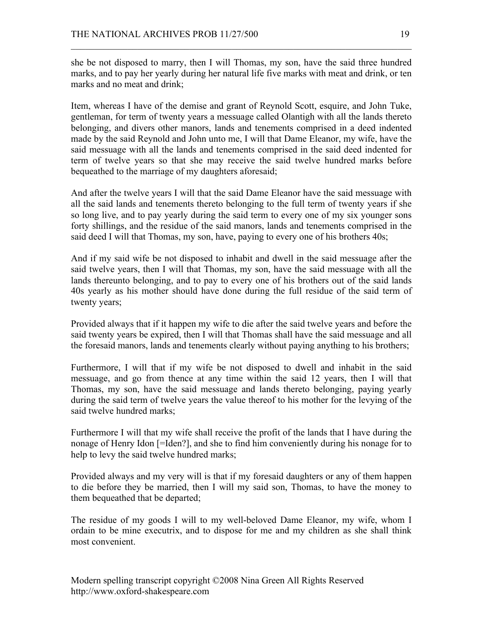she be not disposed to marry, then I will Thomas, my son, have the said three hundred marks, and to pay her yearly during her natural life five marks with meat and drink, or ten marks and no meat and drink;

 $\mathcal{L}_\text{max}$  , and the contribution of the contribution of the contribution of the contribution of the contribution of the contribution of the contribution of the contribution of the contribution of the contribution of t

Item, whereas I have of the demise and grant of Reynold Scott, esquire, and John Tuke, gentleman, for term of twenty years a messuage called Olantigh with all the lands thereto belonging, and divers other manors, lands and tenements comprised in a deed indented made by the said Reynold and John unto me, I will that Dame Eleanor, my wife, have the said messuage with all the lands and tenements comprised in the said deed indented for term of twelve years so that she may receive the said twelve hundred marks before bequeathed to the marriage of my daughters aforesaid;

And after the twelve years I will that the said Dame Eleanor have the said messuage with all the said lands and tenements thereto belonging to the full term of twenty years if she so long live, and to pay yearly during the said term to every one of my six younger sons forty shillings, and the residue of the said manors, lands and tenements comprised in the said deed I will that Thomas, my son, have, paying to every one of his brothers 40s;

And if my said wife be not disposed to inhabit and dwell in the said messuage after the said twelve years, then I will that Thomas, my son, have the said messuage with all the lands thereunto belonging, and to pay to every one of his brothers out of the said lands 40s yearly as his mother should have done during the full residue of the said term of twenty years;

Provided always that if it happen my wife to die after the said twelve years and before the said twenty years be expired, then I will that Thomas shall have the said messuage and all the foresaid manors, lands and tenements clearly without paying anything to his brothers;

Furthermore, I will that if my wife be not disposed to dwell and inhabit in the said messuage, and go from thence at any time within the said 12 years, then I will that Thomas, my son, have the said messuage and lands thereto belonging, paying yearly during the said term of twelve years the value thereof to his mother for the levying of the said twelve hundred marks;

Furthermore I will that my wife shall receive the profit of the lands that I have during the nonage of Henry Idon [=Iden?], and she to find him conveniently during his nonage for to help to levy the said twelve hundred marks;

Provided always and my very will is that if my foresaid daughters or any of them happen to die before they be married, then I will my said son, Thomas, to have the money to them bequeathed that be departed;

The residue of my goods I will to my well-beloved Dame Eleanor, my wife, whom I ordain to be mine executrix, and to dispose for me and my children as she shall think most convenient.